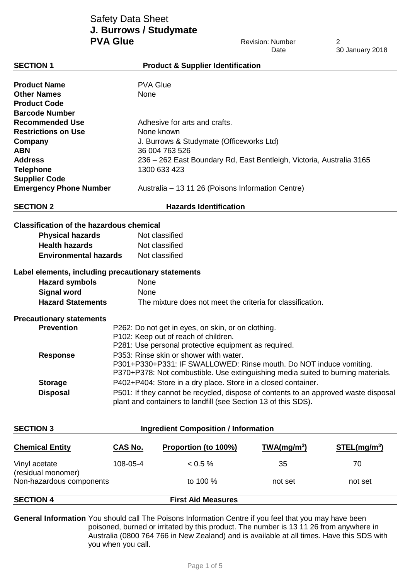# Safety Data Sheet **J. Burrows / Studymate PVA Glue** 2

|                                                    |                                                                                                                                                       |                                                                      | Date                    | 30 January 2018          |
|----------------------------------------------------|-------------------------------------------------------------------------------------------------------------------------------------------------------|----------------------------------------------------------------------|-------------------------|--------------------------|
| <b>SECTION 1</b>                                   |                                                                                                                                                       | <b>Product &amp; Supplier Identification</b>                         |                         |                          |
|                                                    |                                                                                                                                                       |                                                                      |                         |                          |
| <b>Product Name</b>                                |                                                                                                                                                       | <b>PVA Glue</b>                                                      |                         |                          |
| <b>Other Names</b>                                 | None                                                                                                                                                  |                                                                      |                         |                          |
| <b>Product Code</b>                                |                                                                                                                                                       |                                                                      |                         |                          |
| <b>Barcode Number</b>                              |                                                                                                                                                       |                                                                      |                         |                          |
| <b>Recommended Use</b>                             |                                                                                                                                                       | Adhesive for arts and crafts.                                        |                         |                          |
| <b>Restrictions on Use</b>                         |                                                                                                                                                       | None known                                                           |                         |                          |
| Company                                            |                                                                                                                                                       | J. Burrows & Studymate (Officeworks Ltd)                             |                         |                          |
| <b>ABN</b>                                         | 36 004 763 526                                                                                                                                        |                                                                      |                         |                          |
| <b>Address</b>                                     |                                                                                                                                                       | 236 - 262 East Boundary Rd, East Bentleigh, Victoria, Australia 3165 |                         |                          |
| <b>Telephone</b>                                   |                                                                                                                                                       | 1300 633 423                                                         |                         |                          |
| <b>Supplier Code</b>                               |                                                                                                                                                       |                                                                      |                         |                          |
| <b>Emergency Phone Number</b>                      |                                                                                                                                                       | Australia - 13 11 26 (Poisons Information Centre)                    |                         |                          |
| <b>SECTION 2</b>                                   |                                                                                                                                                       | <b>Hazards Identification</b>                                        |                         |                          |
|                                                    |                                                                                                                                                       |                                                                      |                         |                          |
| <b>Classification of the hazardous chemical</b>    |                                                                                                                                                       |                                                                      |                         |                          |
| <b>Physical hazards</b>                            |                                                                                                                                                       | Not classified                                                       |                         |                          |
| <b>Health hazards</b>                              |                                                                                                                                                       | Not classified                                                       |                         |                          |
| <b>Environmental hazards</b>                       |                                                                                                                                                       | Not classified                                                       |                         |                          |
| Label elements, including precautionary statements |                                                                                                                                                       |                                                                      |                         |                          |
| <b>Hazard symbols</b>                              | None                                                                                                                                                  |                                                                      |                         |                          |
| <b>Signal word</b>                                 | None                                                                                                                                                  |                                                                      |                         |                          |
| <b>Hazard Statements</b>                           | The mixture does not meet the criteria for classification.                                                                                            |                                                                      |                         |                          |
| <b>Precautionary statements</b>                    |                                                                                                                                                       |                                                                      |                         |                          |
| <b>Prevention</b>                                  | P262: Do not get in eyes, on skin, or on clothing.<br>P102: Keep out of reach of children.                                                            |                                                                      |                         |                          |
|                                                    |                                                                                                                                                       |                                                                      |                         |                          |
|                                                    |                                                                                                                                                       | P281: Use personal protective equipment as required.                 |                         |                          |
| <b>Response</b>                                    | P353: Rinse skin or shower with water.                                                                                                                |                                                                      |                         |                          |
|                                                    | P301+P330+P331: IF SWALLOWED: Rinse mouth. Do NOT induce vomiting.                                                                                    |                                                                      |                         |                          |
|                                                    | P370+P378: Not combustible. Use extinguishing media suited to burning materials.                                                                      |                                                                      |                         |                          |
| <b>Storage</b>                                     | P402+P404: Store in a dry place. Store in a closed container.                                                                                         |                                                                      |                         |                          |
| <b>Disposal</b>                                    | P501: If they cannot be recycled, dispose of contents to an approved waste disposal<br>plant and containers to landfill (see Section 13 of this SDS). |                                                                      |                         |                          |
|                                                    |                                                                                                                                                       |                                                                      |                         |                          |
| <b>SECTION 3</b>                                   |                                                                                                                                                       | <b>Ingredient Composition / Information</b>                          |                         |                          |
|                                                    |                                                                                                                                                       |                                                                      |                         |                          |
| <b>Chemical Entity</b>                             | <b>CAS No.</b>                                                                                                                                        | Proportion (to 100%)                                                 | TWA(mg/m <sup>3</sup> ) | STEL(mq/m <sup>3</sup> ) |
| Vinyl acetate                                      | 108-05-4                                                                                                                                              | < 0.5 %                                                              | 35                      | 70                       |
| (residual monomer)                                 |                                                                                                                                                       |                                                                      |                         |                          |
| Non-hazardous components                           |                                                                                                                                                       | to 100 %                                                             | not set                 | not set                  |

**SECTION 4 First Aid Measures**

**General Information** You should call The Poisons Information Centre if you feel that you may have been poisoned, burned or irritated by this product. The number is 13 11 26 from anywhere in Australia (0800 764 766 in New Zealand) and is available at all times. Have this SDS with you when you call.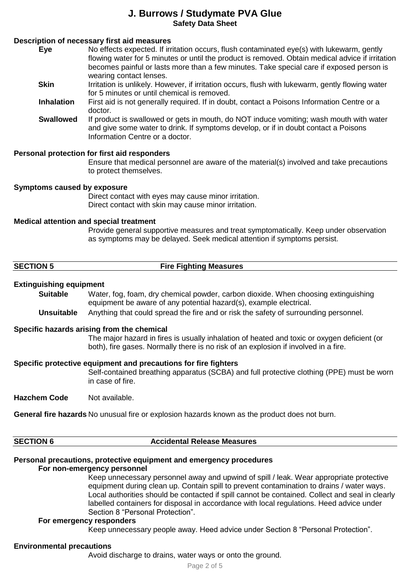## **Description of necessary first aid measures**

| Eye    | No effects expected. If irritation occurs, flush contaminated eye(s) with lukewarm, gently       |
|--------|--------------------------------------------------------------------------------------------------|
|        | flowing water for 5 minutes or until the product is removed. Obtain medical advice if irritation |
|        | becomes painful or lasts more than a few minutes. Take special care if exposed person is         |
|        | wearing contact lenses.                                                                          |
| $\sim$ |                                                                                                  |

**Skin** Irritation is unlikely. However, if irritation occurs, flush with lukewarm, gently flowing water for 5 minutes or until chemical is removed.

**Inhalation** First aid is not generally required. If in doubt, contact a Poisons Information Centre or a doctor.

**Swallowed** If product is swallowed or gets in mouth, do NOT induce vomiting; wash mouth with water and give some water to drink. If symptoms develop, or if in doubt contact a Poisons Information Centre or a doctor.

## **Personal protection for first aid responders**

Ensure that medical personnel are aware of the material(s) involved and take precautions to protect themselves.

#### **Symptoms caused by exposure**

Direct contact with eyes may cause minor irritation. Direct contact with skin may cause minor irritation.

#### **Medical attention and special treatment**

Provide general supportive measures and treat symptomatically. Keep under observation as symptoms may be delayed. Seek medical attention if symptoms persist.

| <b>SECTION 5</b> | <b>Fire Fighting Measures</b> |
|------------------|-------------------------------|

#### **Extinguishing equipment**

**Suitable** Water, fog, foam, dry chemical powder, carbon dioxide. When choosing extinguishing equipment be aware of any potential hazard(s), example electrical.

**Unsuitable** Anything that could spread the fire and or risk the safety of surrounding personnel.

#### **Specific hazards arising from the chemical**

The major hazard in fires is usually inhalation of heated and toxic or oxygen deficient (or both), fire gases. Normally there is no risk of an explosion if involved in a fire.

#### **Specific protective equipment and precautions for fire fighters**

Self-contained breathing apparatus (SCBA) and full protective clothing (PPE) must be worn in case of fire.

**Hazchem Code** Not available.

**General fire hazards** No unusual fire or explosion hazards known as the product does not burn.

| ١<br>۹ | ı |  |
|--------|---|--|
|        |   |  |

**SECTION 6 Accidental Release Measures**

# **Personal precautions, protective equipment and emergency procedures**

### **For non-emergency personnel**

Keep unnecessary personnel away and upwind of spill / leak. Wear appropriate protective equipment during clean up. Contain spill to prevent contamination to drains / water ways. Local authorities should be contacted if spill cannot be contained. Collect and seal in clearly labelled containers for disposal in accordance with local regulations. Heed advice under Section 8 "Personal Protection".

#### **For emergency responders**

Keep unnecessary people away. Heed advice under Section 8 "Personal Protection".

#### **Environmental precautions**

Avoid discharge to drains, water ways or onto the ground.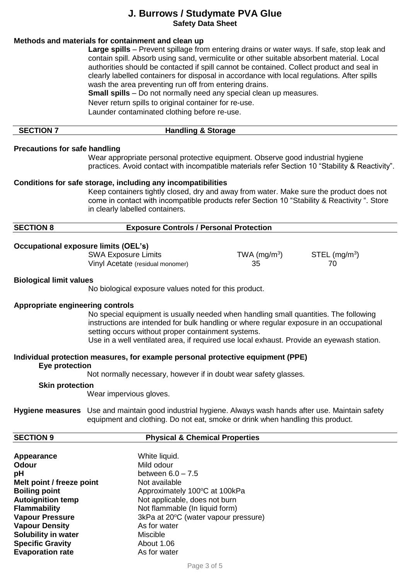# **Methods and materials for containment and clean up**

**Large spills** – Prevent spillage from entering drains or water ways. If safe, stop leak and contain spill. Absorb using sand, vermiculite or other suitable absorbent material. Local authorities should be contacted if spill cannot be contained. Collect product and seal in clearly labelled containers for disposal in accordance with local regulations. After spills wash the area preventing run off from entering drains.

**Small spills** – Do not normally need any special clean up measures.

Never return spills to original container for re-use.

Launder contaminated clothing before re-use.

## **SECTION 7 Handling & Storage**

### **Precautions for safe handling**

Wear appropriate personal protective equipment. Observe good industrial hygiene practices. Avoid contact with incompatible materials refer Section 10 "Stability & Reactivity".

#### **Conditions for safe storage, including any incompatibilities**

Keep containers tightly closed, dry and away from water. Make sure the product does not come in contact with incompatible products refer Section 10 "Stability & Reactivity ". Store in clearly labelled containers.

| <b>SECTION 8</b> | <b>Exposure Controls / Personal Protection</b> |
|------------------|------------------------------------------------|
|                  |                                                |

#### **Occupational exposure limits (OEL's)**

SWA Exposure Limits TWA (mg/m<sup>3</sup>) Vinyl Acetate (residual monomer) 35 35 35

 $\mathsf{STEL}\left(\mathsf{mg/m^3}\right)$ 

#### **Biological limit values**

No biological exposure values noted for this product.

#### **Appropriate engineering controls**

No special equipment is usually needed when handling small quantities. The following instructions are intended for bulk handling or where regular exposure in an occupational setting occurs without proper containment systems.

Use in a well ventilated area, if required use local exhaust. Provide an eyewash station.

## **Individual protection measures, for example personal protective equipment (PPE)**

### **Eye protection**

Not normally necessary, however if in doubt wear safety glasses.

#### **Skin protection**

Wear impervious gloves.

**Hygiene measures** Use and maintain good industrial hygiene. Always wash hands after use. Maintain safety equipment and clothing. Do not eat, smoke or drink when handling this product.

#### **SECTION 9 Physical & Chemical Properties**

**Appearance** White liquid.<br> **Odour** Mild odour **Odour** Mild odour **pH** between 6.0 – 7.5 **Melt point / freeze point** Not available **Boiling point** Approximately 100°C at 100kPa **Autoignition temp** Not applicable, does not burn **Flammability**<br> **Vapour Pressure**<br> **Vapour Pressure**<br> **COMPOON**<br> **Not flammable (In liquid form)**<br>  $3kPa$  at  $20^{\circ}C$  (water vapour proportion) 3kPa at 20<sup>o</sup>C (water vapour pressure) **Vapour Density** As for water **Solubility in water** Miscible **Specific Gravity** About 1.06 **Evaporation rate** As for water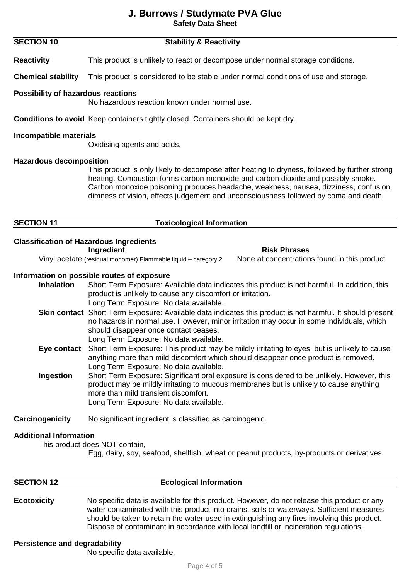| <b>SECTION 10</b>                              | <b>Stability &amp; Reactivity</b>                                                                                                                                                                                                                                                                                                                                 |
|------------------------------------------------|-------------------------------------------------------------------------------------------------------------------------------------------------------------------------------------------------------------------------------------------------------------------------------------------------------------------------------------------------------------------|
| <b>Reactivity</b>                              | This product is unlikely to react or decompose under normal storage conditions.                                                                                                                                                                                                                                                                                   |
| <b>Chemical stability</b>                      | This product is considered to be stable under normal conditions of use and storage.                                                                                                                                                                                                                                                                               |
| <b>Possibility of hazardous reactions</b>      | No hazardous reaction known under normal use.                                                                                                                                                                                                                                                                                                                     |
|                                                | <b>Conditions to avoid</b> Keep containers tightly closed. Containers should be kept dry.                                                                                                                                                                                                                                                                         |
| Incompatible materials                         | Oxidising agents and acids.                                                                                                                                                                                                                                                                                                                                       |
| <b>Hazardous decomposition</b>                 | This product is only likely to decompose after heating to dryness, followed by further strong<br>heating. Combustion forms carbon monoxide and carbon dioxide and possibly smoke.<br>Carbon monoxide poisoning produces headache, weakness, nausea, dizziness, confusion,<br>dimness of vision, effects judgement and unconsciousness followed by coma and death. |
| <b>SECTION 11</b>                              | <b>Toxicological Information</b>                                                                                                                                                                                                                                                                                                                                  |
| <b>Classification of Hazardous Ingredients</b> | Ingredient<br><b>Risk Phrases</b><br>Vinyl acetate (residual monomer) Flammable liquid - category 2<br>None at concentrations found in this product                                                                                                                                                                                                               |
| <b>Inhalation</b>                              | Information on possible routes of exposure<br>Short Term Exposure: Available data indicates this product is not harmful. In addition, this<br>product is unlikely to cause any discomfort or irritation.<br>Long Term Exposure: No data available.                                                                                                                |
|                                                | Skin contact Short Term Exposure: Available data indicates this product is not harmful. It should present<br>no hazards in normal use. However, minor irritation may occur in some individuals, which<br>should disappear once contact ceases.<br>Long Term Exposure: No data available.                                                                          |
| Eye contact                                    | Short Term Exposure: This product may be mildly irritating to eyes, but is unlikely to cause<br>anything more than mild discomfort which should disappear once product is removed.                                                                                                                                                                                |
| Ingestion                                      | Long Term Exposure: No data available.<br>Short Term Exposure: Significant oral exposure is considered to be unlikely. However, this<br>product may be mildly irritating to mucous membranes but is unlikely to cause anything<br>more than mild transient discomfort.<br>Long Term Exposure: No data available.                                                  |
| Carcinogenicity                                | No significant ingredient is classified as carcinogenic.                                                                                                                                                                                                                                                                                                          |
| <b>Additional Information</b>                  | This product does NOT contain,<br>Egg, dairy, soy, seafood, shellfish, wheat or peanut products, by-products or derivatives.                                                                                                                                                                                                                                      |

| <b>SECTION 12</b> | <b>Ecological Information</b> |
|-------------------|-------------------------------|
|                   |                               |

## **Ecotoxicity** No specific data is available for this product. However, do not release this product or any water contaminated with this product into drains, soils or waterways. Sufficient measures should be taken to retain the water used in extinguishing any fires involving this product. Dispose of contaminant in accordance with local landfill or incineration regulations.

## **Persistence and degradability**

No specific data available.